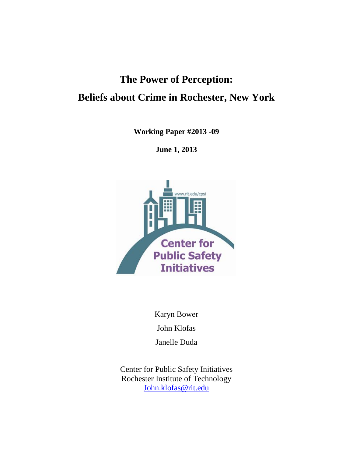# **The Power of Perception: Beliefs about Crime in Rochester, New York**

**Working Paper #2013 -09**

**June 1, 2013**



Karyn Bower

John Klofas

Janelle Duda

Center for Public Safety Initiatives Rochester Institute of Technology [John.klofas@rit.edu](mailto:John.klofas@rit.edu)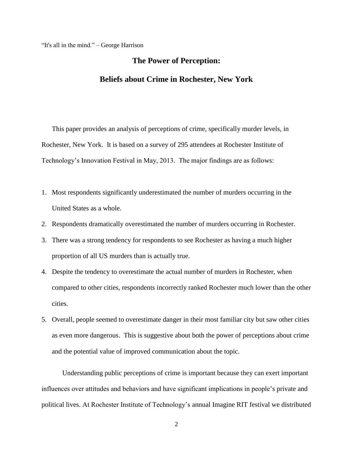"It's all in the mind." – George Harrison

# **The Power of Perception:**

# **Beliefs about Crime in Rochester, New York**

This paper provides an analysis of perceptions of crime, specifically murder levels, in Rochester, New York. It is based on a survey of 295 attendees at Rochester Institute of Technology's Innovation Festival in May, 2013. The major findings are as follows:

- 1. Most respondents significantly underestimated the number of murders occurring in the United States as a whole.
- 2. Respondents dramatically overestimated the number of murders occurring in Rochester.
- 3. There was a strong tendency for respondents to see Rochester as having a much higher proportion of all US murders than is actually true.
- 4. Despite the tendency to overestimate the actual number of murders in Rochester, when compared to other cities, respondents incorrectly ranked Rochester much lower than the other cities.
- 5. Overall, people seemed to overestimate danger in their most familiar city but saw other cities as even more dangerous. This is suggestive about both the power of perceptions about crime and the potential value of improved communication about the topic.

Understanding public perceptions of crime is important because they can exert important influences over attitudes and behaviors and have significant implications in people's private and political lives. At Rochester Institute of Technology's annual Imagine RIT festival we distributed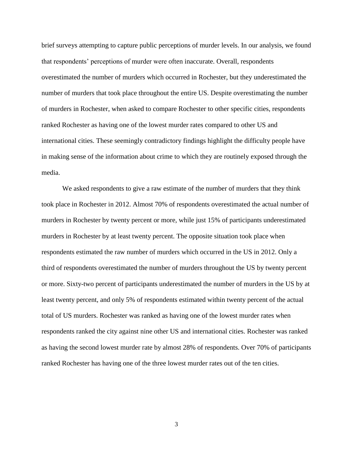brief surveys attempting to capture public perceptions of murder levels. In our analysis, we found that respondents' perceptions of murder were often inaccurate. Overall, respondents overestimated the number of murders which occurred in Rochester, but they underestimated the number of murders that took place throughout the entire US. Despite overestimating the number of murders in Rochester, when asked to compare Rochester to other specific cities, respondents ranked Rochester as having one of the lowest murder rates compared to other US and international cities. These seemingly contradictory findings highlight the difficulty people have in making sense of the information about crime to which they are routinely exposed through the media.

We asked respondents to give a raw estimate of the number of murders that they think took place in Rochester in 2012. Almost 70% of respondents overestimated the actual number of murders in Rochester by twenty percent or more, while just 15% of participants underestimated murders in Rochester by at least twenty percent. The opposite situation took place when respondents estimated the raw number of murders which occurred in the US in 2012. Only a third of respondents overestimated the number of murders throughout the US by twenty percent or more. Sixty-two percent of participants underestimated the number of murders in the US by at least twenty percent, and only 5% of respondents estimated within twenty percent of the actual total of US murders. Rochester was ranked as having one of the lowest murder rates when respondents ranked the city against nine other US and international cities. Rochester was ranked as having the second lowest murder rate by almost 28% of respondents. Over 70% of participants ranked Rochester has having one of the three lowest murder rates out of the ten cities.

3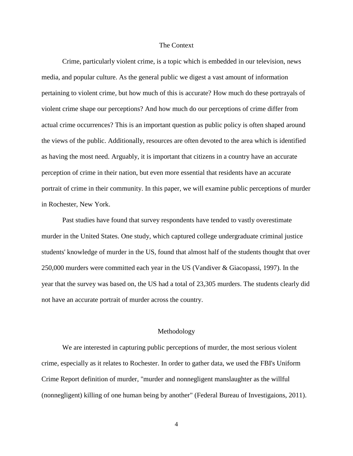#### The Context

Crime, particularly violent crime, is a topic which is embedded in our television, news media, and popular culture. As the general public we digest a vast amount of information pertaining to violent crime, but how much of this is accurate? How much do these portrayals of violent crime shape our perceptions? And how much do our perceptions of crime differ from actual crime occurrences? This is an important question as public policy is often shaped around the views of the public. Additionally, resources are often devoted to the area which is identified as having the most need. Arguably, it is important that citizens in a country have an accurate perception of crime in their nation, but even more essential that residents have an accurate portrait of crime in their community. In this paper, we will examine public perceptions of murder in Rochester, New York.

Past studies have found that survey respondents have tended to vastly overestimate murder in the United States. One study, which captured college undergraduate criminal justice students' knowledge of murder in the US, found that almost half of the students thought that over 250,000 murders were committed each year in the US (Vandiver & Giacopassi, 1997). In the year that the survey was based on, the US had a total of 23,305 murders. The students clearly did not have an accurate portrait of murder across the country.

#### Methodology

We are interested in capturing public perceptions of murder, the most serious violent crime, especially as it relates to Rochester. In order to gather data, we used the FBI's Uniform Crime Report definition of murder, "murder and nonnegligent manslaughter as the willful (nonnegligent) killing of one human being by another" (Federal Bureau of Investigaions, 2011).

4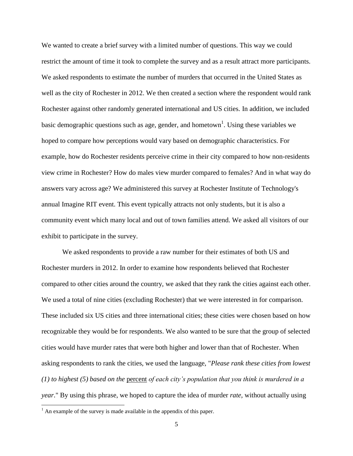We wanted to create a brief survey with a limited number of questions. This way we could restrict the amount of time it took to complete the survey and as a result attract more participants. We asked respondents to estimate the number of murders that occurred in the United States as well as the city of Rochester in 2012. We then created a section where the respondent would rank Rochester against other randomly generated international and US cities. In addition, we included basic demographic questions such as age, gender, and hometown<sup>1</sup>. Using these variables we hoped to compare how perceptions would vary based on demographic characteristics. For example, how do Rochester residents perceive crime in their city compared to how non-residents view crime in Rochester? How do males view murder compared to females? And in what way do answers vary across age? We administered this survey at Rochester Institute of Technology's annual Imagine RIT event. This event typically attracts not only students, but it is also a community event which many local and out of town families attend. We asked all visitors of our exhibit to participate in the survey.

We asked respondents to provide a raw number for their estimates of both US and Rochester murders in 2012. In order to examine how respondents believed that Rochester compared to other cities around the country, we asked that they rank the cities against each other. We used a total of nine cities (excluding Rochester) that we were interested in for comparison. These included six US cities and three international cities; these cities were chosen based on how recognizable they would be for respondents. We also wanted to be sure that the group of selected cities would have murder rates that were both higher and lower than that of Rochester. When asking respondents to rank the cities, we used the language, "*Please rank these cities from lowest (1) to highest (5) based on the* percent *of each city's population that you think is murdered in a year*." By using this phrase, we hoped to capture the idea of murder *rate,* without actually using

l

 $<sup>1</sup>$  An example of the survey is made available in the appendix of this paper.</sup>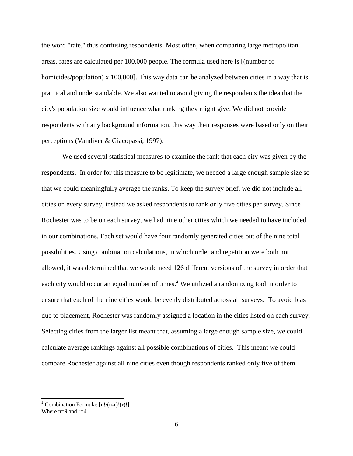the word "rate," thus confusing respondents. Most often, when comparing large metropolitan areas, rates are calculated per 100,000 people. The formula used here is [(number of homicides**/**population) x 100,000]. This way data can be analyzed between cities in a way that is practical and understandable. We also wanted to avoid giving the respondents the idea that the city's population size would influence what ranking they might give. We did not provide respondents with any background information, this way their responses were based only on their perceptions (Vandiver & Giacopassi, 1997).

We used several statistical measures to examine the rank that each city was given by the respondents. In order for this measure to be legitimate, we needed a large enough sample size so that we could meaningfully average the ranks. To keep the survey brief, we did not include all cities on every survey, instead we asked respondents to rank only five cities per survey. Since Rochester was to be on each survey, we had nine other cities which we needed to have included in our combinations. Each set would have four randomly generated cities out of the nine total possibilities. Using combination calculations, in which order and repetition were both not allowed, it was determined that we would need 126 different versions of the survey in order that each city would occur an equal number of times.<sup>2</sup> We utilized a randomizing tool in order to ensure that each of the nine cities would be evenly distributed across all surveys. To avoid bias due to placement, Rochester was randomly assigned a location in the cities listed on each survey. Selecting cities from the larger list meant that, assuming a large enough sample size, we could calculate average rankings against all possible combinations of cities. This meant we could compare Rochester against all nine cities even though respondents ranked only five of them.

l

<sup>&</sup>lt;sup>2</sup> Combination Formula:  $[n!/(n-r)!(r)!]$ 

Where  $n=9$  and  $r=4$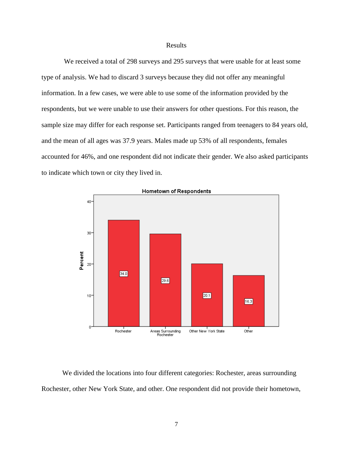#### Results

We received a total of 298 surveys and 295 surveys that were usable for at least some type of analysis. We had to discard 3 surveys because they did not offer any meaningful information. In a few cases, we were able to use some of the information provided by the respondents, but we were unable to use their answers for other questions. For this reason, the sample size may differ for each response set. Participants ranged from teenagers to 84 years old, and the mean of all ages was 37.9 years. Males made up 53% of all respondents, females accounted for 46%, and one respondent did not indicate their gender. We also asked participants to indicate which town or city they lived in.



We divided the locations into four different categories: Rochester, areas surrounding Rochester, other New York State, and other. One respondent did not provide their hometown,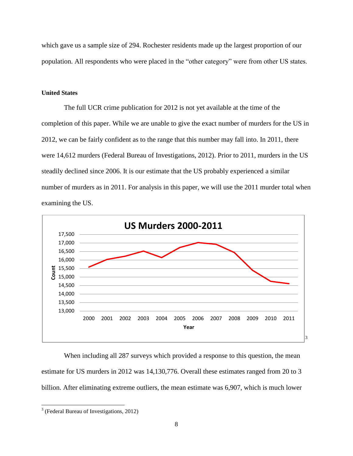which gave us a sample size of 294. Rochester residents made up the largest proportion of our population. All respondents who were placed in the "other category" were from other US states.

#### **United States**

The full UCR crime publication for 2012 is not yet available at the time of the completion of this paper. While we are unable to give the exact number of murders for the US in 2012, we can be fairly confident as to the range that this number may fall into. In 2011, there were 14,612 murders (Federal Bureau of Investigations, 2012). Prior to 2011, murders in the US steadily declined since 2006. It is our estimate that the US probably experienced a similar number of murders as in 2011. For analysis in this paper, we will use the 2011 murder total when examining the US.



When including all 287 surveys which provided a response to this question, the mean estimate for US murders in 2012 was 14,130,776. Overall these estimates ranged from 20 to 3 billion. After eliminating extreme outliers, the mean estimate was 6,907, which is much lower

l

 $3$  (Federal Bureau of Investigations, 2012)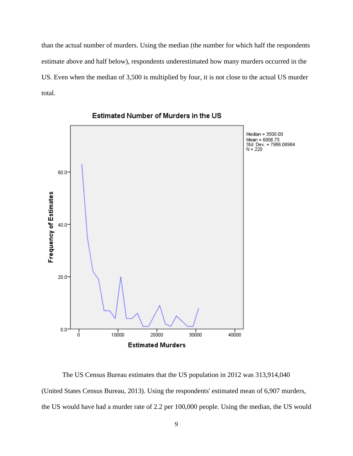than the actual number of murders. Using the median (the number for which half the respondents estimate above and half below), respondents underestimated how many murders occurred in the US. Even when the median of 3,500 is multiplied by four, it is not close to the actual US murder total.



Estimated Number of Murders in the US

The US Census Bureau estimates that the US population in 2012 was 313,914,040 (United States Census Bureau, 2013). Using the respondents' estimated mean of 6,907 murders, the US would have had a murder rate of 2.2 per 100,000 people. Using the median, the US would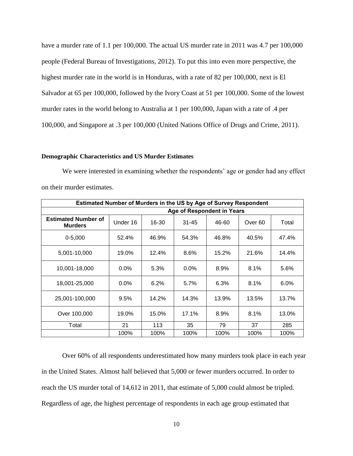have a murder rate of 1.1 per 100,000. The actual US murder rate in 2011 was 4.7 per 100,000 people (Federal Bureau of Investigations, 2012). To put this into even more perspective, the highest murder rate in the world is in Honduras, with a rate of 82 per 100,000, next is El Salvador at 65 per 100,000, followed by the Ivory Coast at 51 per 100,000. Some of the lowest murder rates in the world belong to Australia at 1 per 100,000, Japan with a rate of .4 per 100,000, and Singapore at .3 per 100,000 (United Nations Office of Drugs and Crime, 2011).

#### **Demographic Characteristics and US Murder Estimates**

We were interested in examining whether the respondents' age or gender had any effect on their murder estimates.

| Estimated Number of Murders in the US by Age of Survey Respondent |          |       |                            |       |                    |         |  |
|-------------------------------------------------------------------|----------|-------|----------------------------|-------|--------------------|---------|--|
|                                                                   |          |       | Age of Respondent in Years |       |                    |         |  |
| <b>Estimated Number of</b><br><b>Murders</b>                      | Under 16 | 16-30 | $31 - 45$                  | 46-60 | Over <sub>60</sub> | Total   |  |
| $0 - 5,000$                                                       | 52.4%    | 46.9% | 54.3%                      | 46.8% | 40.5%              | 47.4%   |  |
| 5.001-10.000                                                      | 19.0%    | 12.4% | 8.6%                       | 15.2% | 21.6%              | 14.4%   |  |
| 10.001-18.000                                                     | $0.0\%$  | 5.3%  | $0.0\%$                    | 8.9%  | 8.1%               | 5.6%    |  |
| 18,001-25,000                                                     | $0.0\%$  | 6.2%  | 5.7%                       | 6.3%  | 8.1%               | $6.0\%$ |  |
| 25,001-100,000                                                    | 9.5%     | 14.2% | 14.3%                      | 13.9% | 13.5%              | 13.7%   |  |
| Over 100,000                                                      | 19.0%    | 15.0% | 17.1%                      | 8.9%  | 8.1%               | 13.0%   |  |
| Total                                                             | 21       | 113   | 35                         | 79    | 37                 | 285     |  |
|                                                                   | 100%     | 100%  | 100%                       | 100%  | 100%               | 100%    |  |

Over 60% of all respondents underestimated how many murders took place in each year in the United States. Almost half believed that 5,000 or fewer murders occurred. In order to reach the US murder total of 14,612 in 2011, that estimate of 5,000 could almost be tripled. Regardless of age, the highest percentage of respondents in each age group estimated that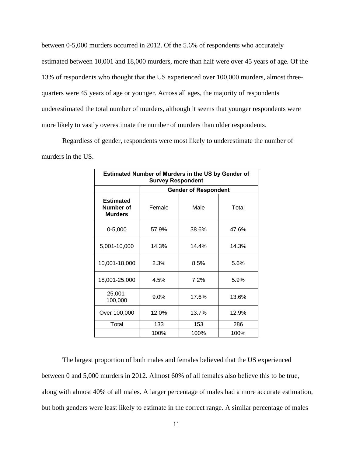between 0-5,000 murders occurred in 2012. Of the 5.6% of respondents who accurately estimated between 10,001 and 18,000 murders, more than half were over 45 years of age. Of the 13% of respondents who thought that the US experienced over 100,000 murders, almost threequarters were 45 years of age or younger. Across all ages, the majority of respondents underestimated the total number of murders, although it seems that younger respondents were more likely to vastly overestimate the number of murders than older respondents.

Regardless of gender, respondents were most likely to underestimate the number of murders in the US.

| Estimated Number of Murders in the US by Gender of<br><b>Survey Respondent</b> |                |                             |       |  |  |  |
|--------------------------------------------------------------------------------|----------------|-----------------------------|-------|--|--|--|
|                                                                                |                | <b>Gender of Respondent</b> |       |  |  |  |
| <b>Estimated</b><br>Number of<br><b>Murders</b>                                | Male<br>Female |                             | Total |  |  |  |
| $0 - 5,000$                                                                    | 57.9%          | 38.6%                       | 47.6% |  |  |  |
| 5,001-10,000                                                                   | 14.3%          | 14.4%                       | 14.3% |  |  |  |
| 10,001-18,000                                                                  | 2.3%           | 8.5%                        | 5.6%  |  |  |  |
| 18,001-25,000                                                                  | 4.5%           | 7.2%                        | 5.9%  |  |  |  |
| $25,001 -$<br>100,000                                                          | $9.0\%$        | 17.6%                       | 13.6% |  |  |  |
| Over 100,000                                                                   | 12.0%          | 13.7%                       | 12.9% |  |  |  |
| Total                                                                          | 133            | 153                         | 286   |  |  |  |
|                                                                                | 100%           | 100%                        | 100%  |  |  |  |

The largest proportion of both males and females believed that the US experienced between 0 and 5,000 murders in 2012. Almost 60% of all females also believe this to be true, along with almost 40% of all males. A larger percentage of males had a more accurate estimation, but both genders were least likely to estimate in the correct range. A similar percentage of males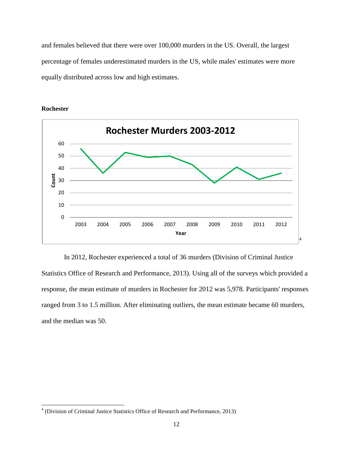and females believed that there were over 100,000 murders in the US. Overall, the largest percentage of females underestimated murders in the US, while males' estimates were more equally distributed across low and high estimates.



**Rochester**

l

In 2012, Rochester experienced a total of 36 murders (Division of Criminal Justice Statistics Office of Research and Performance, 2013). Using all of the surveys which provided a response, the mean estimate of murders in Rochester for 2012 was 5,978. Participants' responses ranged from 3 to 1.5 million. After eliminating outliers, the mean estimate became 60 murders, and the median was 50.

<sup>&</sup>lt;sup>4</sup> (Division of Criminal Justice Statistics Office of Research and Performance, 2013)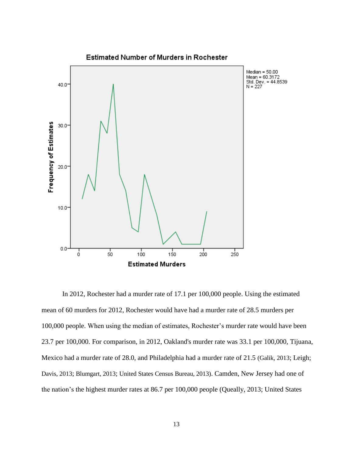

In 2012, Rochester had a murder rate of 17.1 per 100,000 people. Using the estimated mean of 60 murders for 2012, Rochester would have had a murder rate of 28.5 murders per 100,000 people. When using the median of estimates, Rochester's murder rate would have been 23.7 per 100,000. For comparison, in 2012, Oakland's murder rate was 33.1 per 100,000, Tijuana, Mexico had a murder rate of 28.0, and Philadelphia had a murder rate of 21.5 (Galik, 2013; Leigh; Davis, 2013; Blumgart, 2013; United States Census Bureau, 2013). Camden, New Jersey had one of the nation's the highest murder rates at 86.7 per 100,000 people (Queally, 2013; United States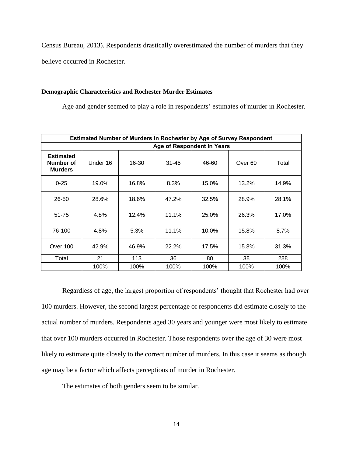Census Bureau, 2013). Respondents drastically overestimated the number of murders that they

believe occurred in Rochester.

#### **Demographic Characteristics and Rochester Murder Estimates**

Age and gender seemed to play a role in respondents' estimates of murder in Rochester.

|                                                 | <b>Estimated Number of Murders in Rochester by Age of Survey Respondent</b> |       |                            |       |                    |       |  |  |
|-------------------------------------------------|-----------------------------------------------------------------------------|-------|----------------------------|-------|--------------------|-------|--|--|
|                                                 |                                                                             |       | Age of Respondent in Years |       |                    |       |  |  |
| <b>Estimated</b><br>Number of<br><b>Murders</b> | Under 16                                                                    | 16-30 | $31 - 45$                  | 46-60 | Over <sub>60</sub> | Total |  |  |
| $0 - 25$                                        | 19.0%                                                                       | 16.8% | 8.3%                       | 15.0% | 13.2%              | 14.9% |  |  |
| 26-50                                           | 28.6%                                                                       | 18.6% | 47.2%                      | 32.5% | 28.9%              | 28.1% |  |  |
| 51-75                                           | 4.8%                                                                        | 12.4% | 11.1%                      | 25.0% | 26.3%              | 17.0% |  |  |
| 76-100                                          | 4.8%                                                                        | 5.3%  | 11.1%                      | 10.0% | 15.8%              | 8.7%  |  |  |
| Over 100                                        | 42.9%                                                                       | 46.9% | 22.2%                      | 17.5% | 15.8%              | 31.3% |  |  |
| Total                                           | 21                                                                          | 113   | 36                         | 80    | 38                 | 288   |  |  |
|                                                 | 100%                                                                        | 100%  | 100%                       | 100%  | 100%               | 100%  |  |  |

Regardless of age, the largest proportion of respondents' thought that Rochester had over 100 murders. However, the second largest percentage of respondents did estimate closely to the actual number of murders. Respondents aged 30 years and younger were most likely to estimate that over 100 murders occurred in Rochester. Those respondents over the age of 30 were most likely to estimate quite closely to the correct number of murders. In this case it seems as though age may be a factor which affects perceptions of murder in Rochester.

The estimates of both genders seem to be similar.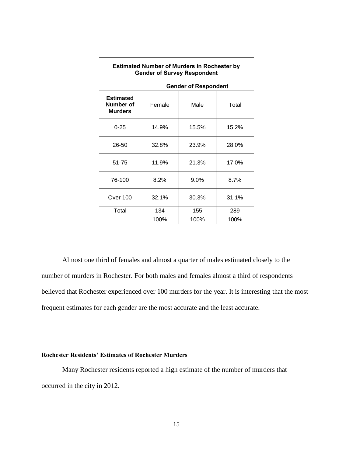| <b>Estimated Number of Murders in Rochester by</b><br><b>Gender of Survey Respondent</b> |        |                             |       |  |  |  |  |
|------------------------------------------------------------------------------------------|--------|-----------------------------|-------|--|--|--|--|
|                                                                                          |        | <b>Gender of Respondent</b> |       |  |  |  |  |
| <b>Estimated</b><br>Number of<br><b>Murders</b>                                          | Female | Male                        | Total |  |  |  |  |
| $0 - 25$                                                                                 | 14.9%  | 15.5%                       | 15.2% |  |  |  |  |
| 26-50                                                                                    | 32.8%  | 23.9%                       | 28.0% |  |  |  |  |
| 51-75                                                                                    | 11.9%  | 21.3%                       | 17.0% |  |  |  |  |
| 76-100                                                                                   | 8.2%   | 9.0%                        | 8.7%  |  |  |  |  |
| Over 100                                                                                 | 32.1%  | 30.3%                       | 31.1% |  |  |  |  |
| Total                                                                                    | 134    | 155                         | 289   |  |  |  |  |
|                                                                                          | 100%   | 100%                        | 100%  |  |  |  |  |

Almost one third of females and almost a quarter of males estimated closely to the number of murders in Rochester. For both males and females almost a third of respondents believed that Rochester experienced over 100 murders for the year. It is interesting that the most frequent estimates for each gender are the most accurate and the least accurate.

#### **Rochester Residents' Estimates of Rochester Murders**

Many Rochester residents reported a high estimate of the number of murders that occurred in the city in 2012.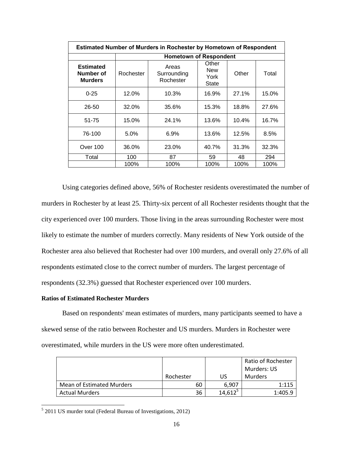| <b>Estimated Number of Murders in Rochester by Hometown of Respondent</b> |           |                                   |                                             |       |       |  |
|---------------------------------------------------------------------------|-----------|-----------------------------------|---------------------------------------------|-------|-------|--|
|                                                                           |           | <b>Hometown of Respondent</b>     |                                             |       |       |  |
| <b>Estimated</b><br>Number of<br><b>Murders</b>                           | Rochester | Areas<br>Surrounding<br>Rochester | Other<br><b>New</b><br>York<br><b>State</b> | Other | Total |  |
| $0 - 25$                                                                  | 12.0%     | 10.3%                             | 16.9%                                       | 27.1% | 15.0% |  |
| 26-50                                                                     | 32.0%     | 35.6%                             | 15.3%                                       | 18.8% | 27.6% |  |
| 51-75                                                                     | 15.0%     | 24.1%                             | 13.6%                                       | 10.4% | 16.7% |  |
| 76-100                                                                    | 5.0%      | $6.9\%$                           | 13.6%                                       | 12.5% | 8.5%  |  |
| Over 100                                                                  | 36.0%     | 23.0%                             | 40.7%                                       | 31.3% | 32.3% |  |
| Total                                                                     | 100       | 87                                | 59                                          | 48    | 294   |  |
|                                                                           | 100%      | 100%                              | 100%                                        | 100%  | 100%  |  |

Using categories defined above, 56% of Rochester residents overestimated the number of murders in Rochester by at least 25. Thirty-six percent of all Rochester residents thought that the city experienced over 100 murders. Those living in the areas surrounding Rochester were most likely to estimate the number of murders correctly. Many residents of New York outside of the Rochester area also believed that Rochester had over 100 murders, and overall only 27.6% of all respondents estimated close to the correct number of murders. The largest percentage of respondents (32.3%) guessed that Rochester experienced over 100 murders.

### **Ratios of Estimated Rochester Murders**

l

Based on respondents' mean estimates of murders, many participants seemed to have a skewed sense of the ratio between Rochester and US murders. Murders in Rochester were overestimated, while murders in the US were more often underestimated.

|                           |           |            | Ratio of Rochester |
|---------------------------|-----------|------------|--------------------|
|                           |           |            | Murders: US        |
|                           | Rochester | US         | <b>Murders</b>     |
| Mean of Estimated Murders | 60        | 6,907      | 1:115              |
| <b>Actual Murders</b>     | 36        | $14,612^5$ | 1:405.9            |

 $5$  2011 US murder total (Federal Bureau of Investigations, 2012)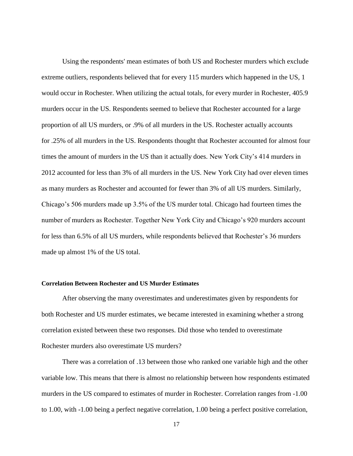Using the respondents' mean estimates of both US and Rochester murders which exclude extreme outliers, respondents believed that for every 115 murders which happened in the US, 1 would occur in Rochester. When utilizing the actual totals, for every murder in Rochester, 405.9 murders occur in the US. Respondents seemed to believe that Rochester accounted for a large proportion of all US murders, or .9% of all murders in the US. Rochester actually accounts for .25% of all murders in the US. Respondents thought that Rochester accounted for almost four times the amount of murders in the US than it actually does. New York City's 414 murders in 2012 accounted for less than 3% of all murders in the US. New York City had over eleven times as many murders as Rochester and accounted for fewer than 3% of all US murders. Similarly, Chicago's 506 murders made up 3.5% of the US murder total. Chicago had fourteen times the number of murders as Rochester. Together New York City and Chicago's 920 murders account for less than 6.5% of all US murders, while respondents believed that Rochester's 36 murders made up almost 1% of the US total.

#### **Correlation Between Rochester and US Murder Estimates**

After observing the many overestimates and underestimates given by respondents for both Rochester and US murder estimates, we became interested in examining whether a strong correlation existed between these two responses. Did those who tended to overestimate Rochester murders also overestimate US murders?

There was a correlation of .13 between those who ranked one variable high and the other variable low. This means that there is almost no relationship between how respondents estimated murders in the US compared to estimates of murder in Rochester. Correlation ranges from -1.00 to 1.00, with -1.00 being a perfect negative correlation, 1.00 being a perfect positive correlation,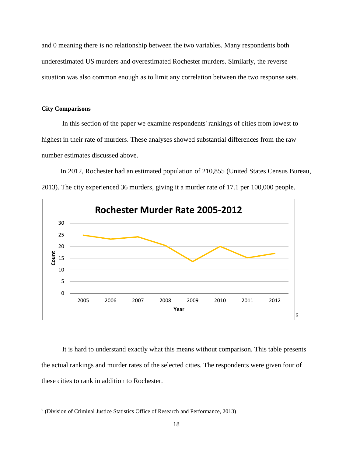and 0 meaning there is no relationship between the two variables. Many respondents both underestimated US murders and overestimated Rochester murders. Similarly, the reverse situation was also common enough as to limit any correlation between the two response sets.

#### **City Comparisons**

l

In this section of the paper we examine respondents' rankings of cities from lowest to highest in their rate of murders. These analyses showed substantial differences from the raw number estimates discussed above.

In 2012, Rochester had an estimated population of 210,855 (United States Census Bureau, 2013). The city experienced 36 murders, giving it a murder rate of 17.1 per 100,000 people.



It is hard to understand exactly what this means without comparison. This table presents the actual rankings and murder rates of the selected cities. The respondents were given four of these cities to rank in addition to Rochester.

<sup>&</sup>lt;sup>6</sup> (Division of Criminal Justice Statistics Office of Research and Performance, 2013)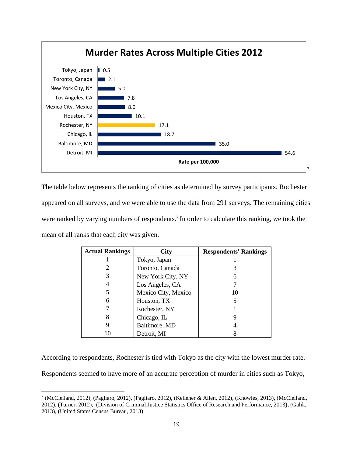

The table below represents the ranking of cities as determined by survey participants. Rochester appeared on all surveys, and we were able to use the data from 291 surveys. The remaining cities were ranked by varying numbers of respondents.<sup>1</sup> In order to calculate this ranking, we took the mean of all ranks that each city was given.

| <b>Actual Rankings</b> | City                | <b>Respondents' Rankings</b> |
|------------------------|---------------------|------------------------------|
|                        | Tokyo, Japan        |                              |
|                        | Toronto, Canada     |                              |
| 3                      | New York City, NY   |                              |
| 4                      | Los Angeles, CA     |                              |
| 5                      | Mexico City, Mexico | 10                           |
| 6                      | Houston, TX         |                              |
|                        | Rochester, NY       |                              |
| 8                      | Chicago, IL         |                              |
| 9                      | Baltimore, MD       |                              |
|                        | Detroit, MI         |                              |

According to respondents, Rochester is tied with Tokyo as the city with the lowest murder rate.

Respondents seemed to have more of an accurate perception of murder in cities such as Tokyo,

l

 $7$  (McClelland, 2012), (Pagliaro, 2012), (Pagliaro, 2012), (Kelleher & Allen, 2012), (Knowles, 2013), (McClelland, 2012), (Turner, 2012), (Division of Criminal Justice Statistics Office of Research and Performance, 2013), (Galik, 2013), (United States Census Bureau, 2013)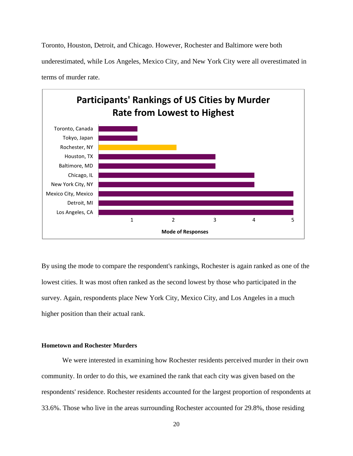Toronto, Houston, Detroit, and Chicago. However, Rochester and Baltimore were both underestimated, while Los Angeles, Mexico City, and New York City were all overestimated in terms of murder rate.



By using the mode to compare the respondent's rankings, Rochester is again ranked as one of the lowest cities. It was most often ranked as the second lowest by those who participated in the survey. Again, respondents place New York City, Mexico City, and Los Angeles in a much higher position than their actual rank.

#### **Hometown and Rochester Murders**

We were interested in examining how Rochester residents perceived murder in their own community. In order to do this, we examined the rank that each city was given based on the respondents' residence. Rochester residents accounted for the largest proportion of respondents at 33.6%. Those who live in the areas surrounding Rochester accounted for 29.8%, those residing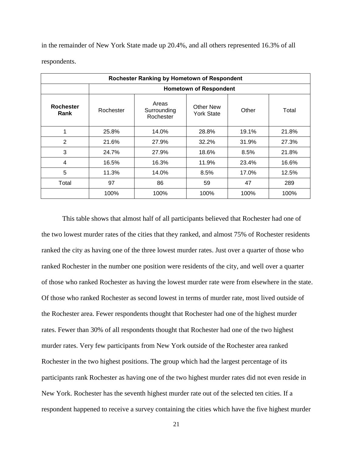| Rochester Ranking by Hometown of Respondent |           |                                   |                                       |       |       |  |  |
|---------------------------------------------|-----------|-----------------------------------|---------------------------------------|-------|-------|--|--|
|                                             |           |                                   | <b>Hometown of Respondent</b>         |       |       |  |  |
| <b>Rochester</b><br>Rank                    | Rochester | Areas<br>Surrounding<br>Rochester | <b>Other New</b><br><b>York State</b> | Other | Total |  |  |
| 1                                           | 25.8%     | 14.0%                             | 28.8%                                 | 19.1% | 21.8% |  |  |
| $\overline{2}$                              | 21.6%     | 27.9%                             | 32.2%                                 | 31.9% | 27.3% |  |  |
| 3                                           | 24.7%     | 27.9%                             | 18.6%                                 | 8.5%  | 21.8% |  |  |
| 4                                           | 16.5%     | 16.3%                             | 11.9%                                 | 23.4% | 16.6% |  |  |
| 5                                           | 11.3%     | 14.0%                             | 8.5%                                  | 17.0% | 12.5% |  |  |
| Total                                       | 97        | 86                                | 59                                    | 47    | 289   |  |  |
|                                             | 100%      | 100%                              | 100%                                  | 100%  | 100%  |  |  |

in the remainder of New York State made up 20.4%, and all others represented 16.3% of all respondents.

This table shows that almost half of all participants believed that Rochester had one of the two lowest murder rates of the cities that they ranked, and almost 75% of Rochester residents ranked the city as having one of the three lowest murder rates. Just over a quarter of those who ranked Rochester in the number one position were residents of the city, and well over a quarter of those who ranked Rochester as having the lowest murder rate were from elsewhere in the state. Of those who ranked Rochester as second lowest in terms of murder rate, most lived outside of the Rochester area. Fewer respondents thought that Rochester had one of the highest murder rates. Fewer than 30% of all respondents thought that Rochester had one of the two highest murder rates. Very few participants from New York outside of the Rochester area ranked Rochester in the two highest positions. The group which had the largest percentage of its participants rank Rochester as having one of the two highest murder rates did not even reside in New York. Rochester has the seventh highest murder rate out of the selected ten cities. If a respondent happened to receive a survey containing the cities which have the five highest murder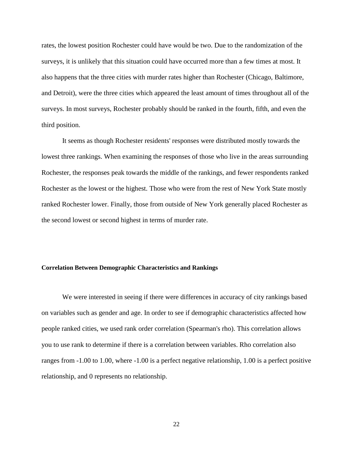rates, the lowest position Rochester could have would be two. Due to the randomization of the surveys, it is unlikely that this situation could have occurred more than a few times at most. It also happens that the three cities with murder rates higher than Rochester (Chicago, Baltimore, and Detroit), were the three cities which appeared the least amount of times throughout all of the surveys. In most surveys, Rochester probably should be ranked in the fourth, fifth, and even the third position.

It seems as though Rochester residents' responses were distributed mostly towards the lowest three rankings. When examining the responses of those who live in the areas surrounding Rochester, the responses peak towards the middle of the rankings, and fewer respondents ranked Rochester as the lowest or the highest. Those who were from the rest of New York State mostly ranked Rochester lower. Finally, those from outside of New York generally placed Rochester as the second lowest or second highest in terms of murder rate.

#### **Correlation Between Demographic Characteristics and Rankings**

We were interested in seeing if there were differences in accuracy of city rankings based on variables such as gender and age. In order to see if demographic characteristics affected how people ranked cities, we used rank order correlation (Spearman's rho). This correlation allows you to use rank to determine if there is a correlation between variables. Rho correlation also ranges from -1.00 to 1.00, where -1.00 is a perfect negative relationship, 1.00 is a perfect positive relationship, and 0 represents no relationship.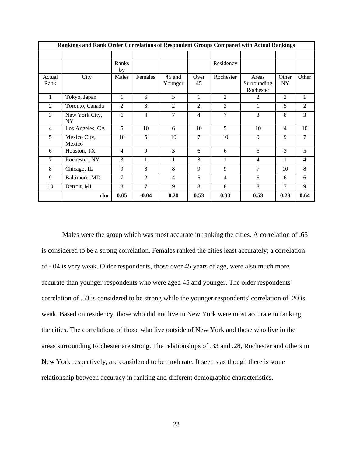|                | Rankings and Rank Order Correlations of Respondent Groups Compared with Actual Rankings |                |                |                   |                |                |                                   |                    |                |
|----------------|-----------------------------------------------------------------------------------------|----------------|----------------|-------------------|----------------|----------------|-----------------------------------|--------------------|----------------|
|                |                                                                                         |                |                |                   |                |                |                                   |                    |                |
|                |                                                                                         | Ranks<br>by    |                |                   |                | Residency      |                                   |                    |                |
| Actual<br>Rank | City                                                                                    | Males          | Females        | 45 and<br>Younger | Over<br>45     | Rochester      | Areas<br>Surrounding<br>Rochester | Other<br><b>NY</b> | Other          |
| $\mathbf{1}$   | Tokyo, Japan                                                                            | 1              | 6              | 5                 | 1              | 2              | 2                                 | $\overline{2}$     | 1              |
| $\overline{2}$ | Toronto, Canada                                                                         | $\overline{2}$ | 3              | 2                 | $\overline{2}$ | 3              | $\mathbf{1}$                      | 5                  | $\overline{2}$ |
| 3              | New York City,<br><b>NY</b>                                                             | 6              | $\overline{4}$ | 7                 | $\overline{4}$ | 7              | 3                                 | 8                  | 3              |
| $\overline{4}$ | Los Angeles, CA                                                                         | 5              | 10             | 6                 | 10             | 5              | 10                                | $\overline{4}$     | 10             |
| 5              | Mexico City,<br>Mexico                                                                  | 10             | 5              | 10                | 7              | 10             | 9                                 | 9                  | 7              |
| 6              | Houston, TX                                                                             | $\overline{4}$ | 9              | $\mathcal{E}$     | 6              | 6              | 5                                 | 3                  | 5              |
| 7              | Rochester, NY                                                                           | 3              | 1              | 1                 | 3              | 1              | $\overline{4}$                    |                    | 4              |
| 8              | Chicago, IL                                                                             | 9              | 8              | 8                 | 9              | 9              | 7                                 | 10                 | 8              |
| 9              | Baltimore, MD                                                                           | 7              | 2              | $\overline{4}$    | 5              | $\overline{4}$ | 6                                 | 6                  | 6              |
| 10             | Detroit, MI                                                                             | 8              | 7              | 9                 | 8              | 8              | 8                                 | 7                  | 9              |
|                | rho                                                                                     | 0.65           | $-0.04$        | 0.20              | 0.53           | 0.33           | 0.53                              | 0.28               | 0.64           |

Males were the group which was most accurate in ranking the cities. A correlation of .65 is considered to be a strong correlation. Females ranked the cities least accurately; a correlation of -.04 is very weak. Older respondents, those over 45 years of age, were also much more accurate than younger respondents who were aged 45 and younger. The older respondents' correlation of .53 is considered to be strong while the younger respondents' correlation of .20 is weak. Based on residency, those who did not live in New York were most accurate in ranking the cities. The correlations of those who live outside of New York and those who live in the areas surrounding Rochester are strong. The relationships of .33 and .28, Rochester and others in New York respectively, are considered to be moderate. It seems as though there is some relationship between accuracy in ranking and different demographic characteristics.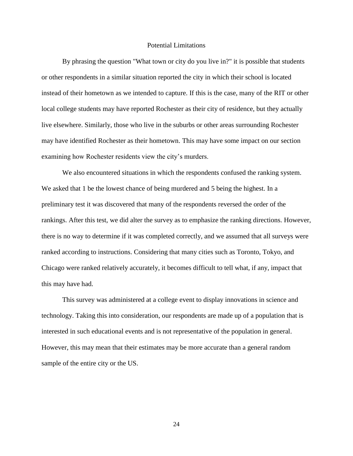#### Potential Limitations

By phrasing the question "What town or city do you live in?" it is possible that students or other respondents in a similar situation reported the city in which their school is located instead of their hometown as we intended to capture. If this is the case, many of the RIT or other local college students may have reported Rochester as their city of residence, but they actually live elsewhere. Similarly, those who live in the suburbs or other areas surrounding Rochester may have identified Rochester as their hometown. This may have some impact on our section examining how Rochester residents view the city's murders.

We also encountered situations in which the respondents confused the ranking system. We asked that 1 be the lowest chance of being murdered and 5 being the highest. In a preliminary test it was discovered that many of the respondents reversed the order of the rankings. After this test, we did alter the survey as to emphasize the ranking directions. However, there is no way to determine if it was completed correctly, and we assumed that all surveys were ranked according to instructions. Considering that many cities such as Toronto, Tokyo, and Chicago were ranked relatively accurately, it becomes difficult to tell what, if any, impact that this may have had.

This survey was administered at a college event to display innovations in science and technology. Taking this into consideration, our respondents are made up of a population that is interested in such educational events and is not representative of the population in general. However, this may mean that their estimates may be more accurate than a general random sample of the entire city or the US.

24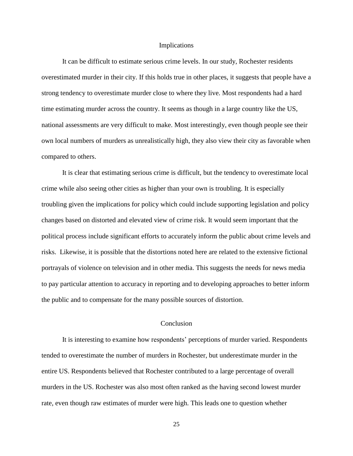#### Implications

It can be difficult to estimate serious crime levels. In our study, Rochester residents overestimated murder in their city. If this holds true in other places, it suggests that people have a strong tendency to overestimate murder close to where they live. Most respondents had a hard time estimating murder across the country. It seems as though in a large country like the US, national assessments are very difficult to make. Most interestingly, even though people see their own local numbers of murders as unrealistically high, they also view their city as favorable when compared to others.

It is clear that estimating serious crime is difficult, but the tendency to overestimate local crime while also seeing other cities as higher than your own is troubling. It is especially troubling given the implications for policy which could include supporting legislation and policy changes based on distorted and elevated view of crime risk. It would seem important that the political process include significant efforts to accurately inform the public about crime levels and risks. Likewise, it is possible that the distortions noted here are related to the extensive fictional portrayals of violence on television and in other media. This suggests the needs for news media to pay particular attention to accuracy in reporting and to developing approaches to better inform the public and to compensate for the many possible sources of distortion.

#### Conclusion

It is interesting to examine how respondents' perceptions of murder varied. Respondents tended to overestimate the number of murders in Rochester, but underestimate murder in the entire US. Respondents believed that Rochester contributed to a large percentage of overall murders in the US. Rochester was also most often ranked as the having second lowest murder rate, even though raw estimates of murder were high. This leads one to question whether

25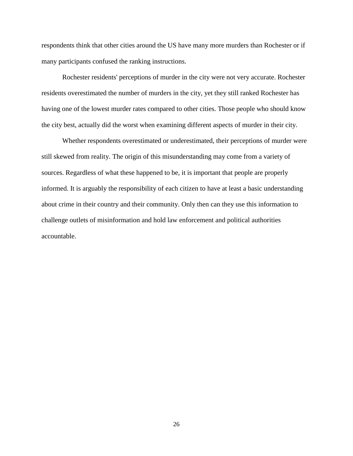respondents think that other cities around the US have many more murders than Rochester or if many participants confused the ranking instructions.

Rochester residents' perceptions of murder in the city were not very accurate. Rochester residents overestimated the number of murders in the city, yet they still ranked Rochester has having one of the lowest murder rates compared to other cities. Those people who should know the city best, actually did the worst when examining different aspects of murder in their city.

Whether respondents overestimated or underestimated, their perceptions of murder were still skewed from reality. The origin of this misunderstanding may come from a variety of sources. Regardless of what these happened to be, it is important that people are properly informed. It is arguably the responsibility of each citizen to have at least a basic understanding about crime in their country and their community. Only then can they use this information to challenge outlets of misinformation and hold law enforcement and political authorities accountable.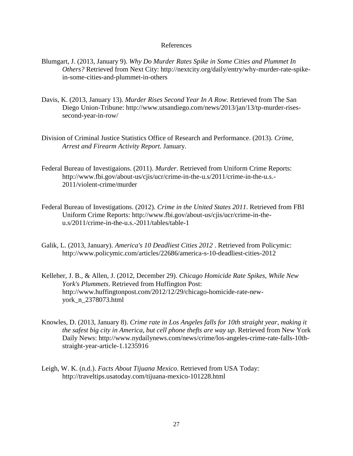#### References

- Blumgart, J. (2013, January 9). *Why Do Murder Rates Spike in Some Cities and Plummet In Others?* Retrieved from Next City: http://nextcity.org/daily/entry/why-murder-rate-spikein-some-cities-and-plummet-in-others
- Davis, K. (2013, January 13). *Murder Rises Second Year In A Row*. Retrieved from The San Diego Union-Tribune: http://www.utsandiego.com/news/2013/jan/13/tp-murder-risessecond-year-in-row/
- Division of Criminal Justice Statistics Office of Research and Performance. (2013). *Crime, Arrest and Firearm Activity Report.* January.
- Federal Bureau of Investigaions. (2011). *Murder*. Retrieved from Uniform Crime Reports: http://www.fbi.gov/about-us/cjis/ucr/crime-in-the-u.s/2011/crime-in-the-u.s.- 2011/violent-crime/murder
- Federal Bureau of Investigations. (2012). *Crime in the United States 2011*. Retrieved from FBI Uniform Crime Reports: http://www.fbi.gov/about-us/cjis/ucr/crime-in-theu.s/2011/crime-in-the-u.s.-2011/tables/table-1
- Galik, L. (2013, January). *America's 10 Deadliest Cities 2012* . Retrieved from Policymic: http://www.policymic.com/articles/22686/america-s-10-deadliest-cities-2012
- Kelleher, J. B., & Allen, J. (2012, December 29). *Chicago Homicide Rate Spikes, While New York's Plummets*. Retrieved from Huffington Post: http://www.huffingtonpost.com/2012/12/29/chicago-homicide-rate-newyork\_n\_2378073.html
- Knowles, D. (2013, January 8). *Crime rate in Los Angeles falls for 10th straight year, making it the safest big city in America, but cell phone thefts are way up*. Retrieved from New York Daily News: http://www.nydailynews.com/news/crime/los-angeles-crime-rate-falls-10thstraight-year-article-1.1235916
- Leigh, W. K. (n.d.). *Facts About Tijuana Mexico*. Retrieved from USA Today: http://traveltips.usatoday.com/tijuana-mexico-101228.html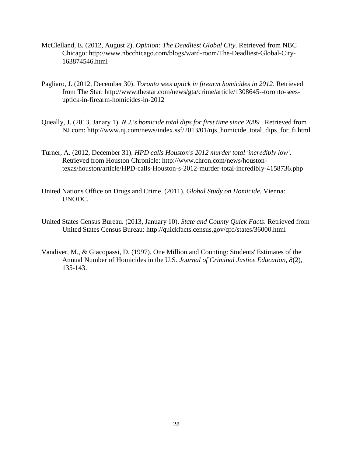- McClelland, E. (2012, August 2). *Opinion: The Deadliest Global City*. Retrieved from NBC Chicago: http://www.nbcchicago.com/blogs/ward-room/The-Deadliest-Global-City-163874546.html
- Pagliaro, J. (2012, December 30). *Toronto sees uptick in firearm homicides in 2012*. Retrieved from The Star: http://www.thestar.com/news/gta/crime/article/1308645--toronto-seesuptick-in-firearm-homicides-in-2012
- Queally, J. (2013, Janary 1). *N.J.'s homicide total dips for first time since 2009* . Retrieved from NJ.com: http://www.nj.com/news/index.ssf/2013/01/njs\_homicide\_total\_dips\_for\_fi.html
- Turner, A. (2012, December 31). *HPD calls Houston's 2012 murder total 'incredibly low'*. Retrieved from Houston Chronicle: http://www.chron.com/news/houstontexas/houston/article/HPD-calls-Houston-s-2012-murder-total-incredibly-4158736.php
- United Nations Office on Drugs and Crime. (2011). *Global Study on Homicide.* Vienna: UNODC.
- United States Census Bureau. (2013, January 10). *State and County Quick Facts*. Retrieved from United States Census Bureau: http://quickfacts.census.gov/qfd/states/36000.html
- Vandiver, M., & Giacopassi, D. (1997). One Million and Counting: Students' Estimates of the Annual Number of Homicides in the U.S. *Journal of Criminal Justice Education, 8*(2), 135-143.